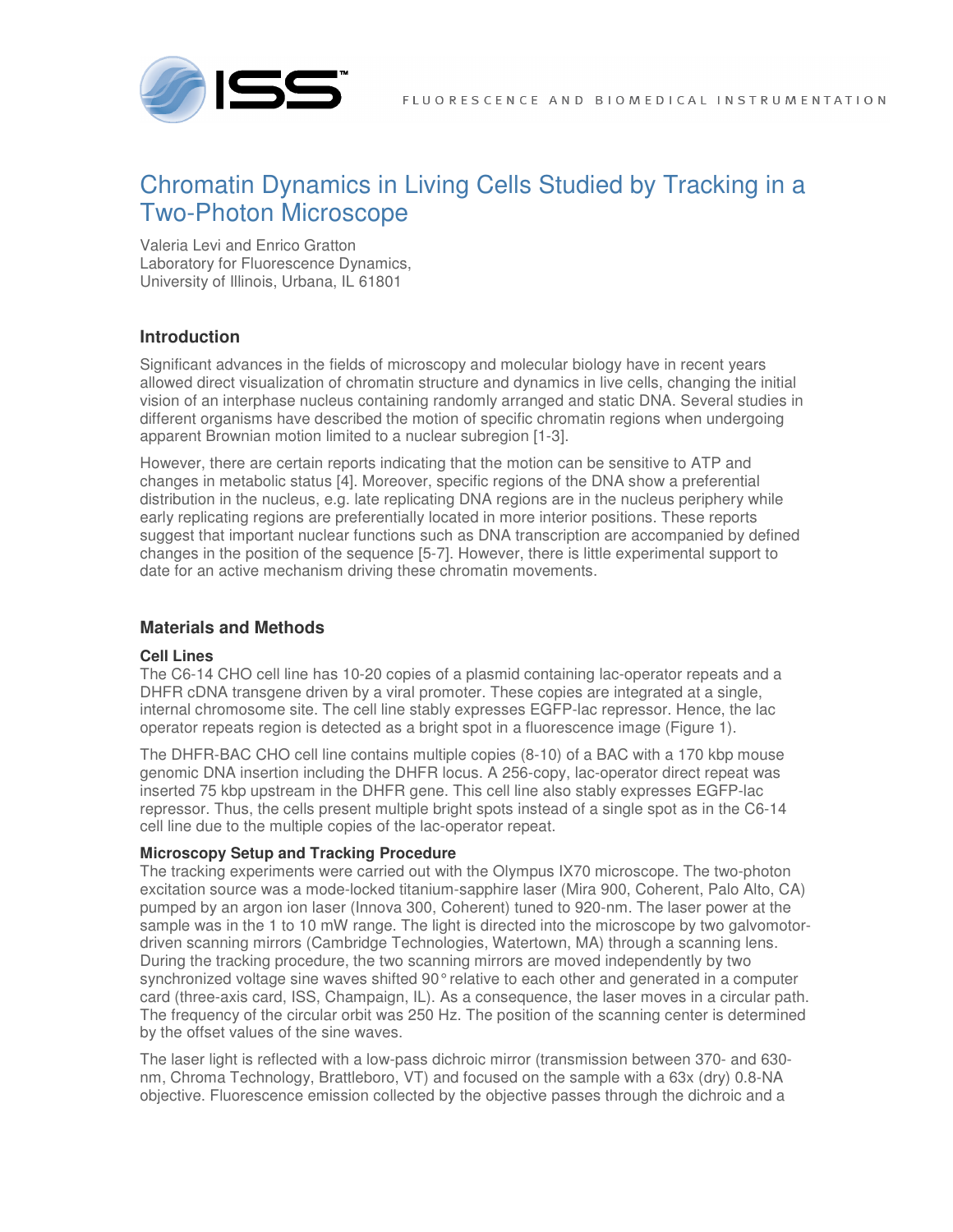

# Chromatin Dynamics in Living Cells Studied by Tracking in a Two-Photon Microscope

Valeria Levi and Enrico Gratton Laboratory for Fluorescence Dynamics, University of Illinois, Urbana, IL 61801

## **Introduction**

Significant advances in the fields of microscopy and molecular biology have in recent years allowed direct visualization of chromatin structure and dynamics in live cells, changing the initial vision of an interphase nucleus containing randomly arranged and static DNA. Several studies in different organisms have described the motion of specific chromatin regions when undergoing apparent Brownian motion limited to a nuclear subregion [1-3].

However, there are certain reports indicating that the motion can be sensitive to ATP and changes in metabolic status [4]. Moreover, specific regions of the DNA show a preferential distribution in the nucleus, e.g. late replicating DNA regions are in the nucleus periphery while early replicating regions are preferentially located in more interior positions. These reports suggest that important nuclear functions such as DNA transcription are accompanied by defined changes in the position of the sequence [5-7]. However, there is little experimental support to date for an active mechanism driving these chromatin movements.

## **Materials and Methods**

### **Cell Lines**

The C6-14 CHO cell line has 10-20 copies of a plasmid containing lac-operator repeats and a DHFR cDNA transgene driven by a viral promoter. These copies are integrated at a single, internal chromosome site. The cell line stably expresses EGFP-lac repressor. Hence, the lac operator repeats region is detected as a bright spot in a fluorescence image (Figure 1).

The DHFR-BAC CHO cell line contains multiple copies (8-10) of a BAC with a 170 kbp mouse genomic DNA insertion including the DHFR locus. A 256-copy, lac-operator direct repeat was inserted 75 kbp upstream in the DHFR gene. This cell line also stably expresses EGFP-lac repressor. Thus, the cells present multiple bright spots instead of a single spot as in the C6-14 cell line due to the multiple copies of the lac-operator repeat.

### **Microscopy Setup and Tracking Procedure**

The tracking experiments were carried out with the Olympus IX70 microscope. The two-photon excitation source was a mode-locked titanium-sapphire laser (Mira 900, Coherent, Palo Alto, CA) pumped by an argon ion laser (Innova 300, Coherent) tuned to 920-nm. The laser power at the sample was in the 1 to 10 mW range. The light is directed into the microscope by two galvomotordriven scanning mirrors (Cambridge Technologies, Watertown, MA) through a scanning lens. During the tracking procedure, the two scanning mirrors are moved independently by two synchronized voltage sine waves shifted 90° relative to each other and generated in a computer card (three-axis card, ISS, Champaign, IL). As a consequence, the laser moves in a circular path. The frequency of the circular orbit was 250 Hz. The position of the scanning center is determined by the offset values of the sine waves.

The laser light is reflected with a low-pass dichroic mirror (transmission between 370- and 630 nm, Chroma Technology, Brattleboro, VT) and focused on the sample with a 63x (dry) 0.8-NA objective. Fluorescence emission collected by the objective passes through the dichroic and a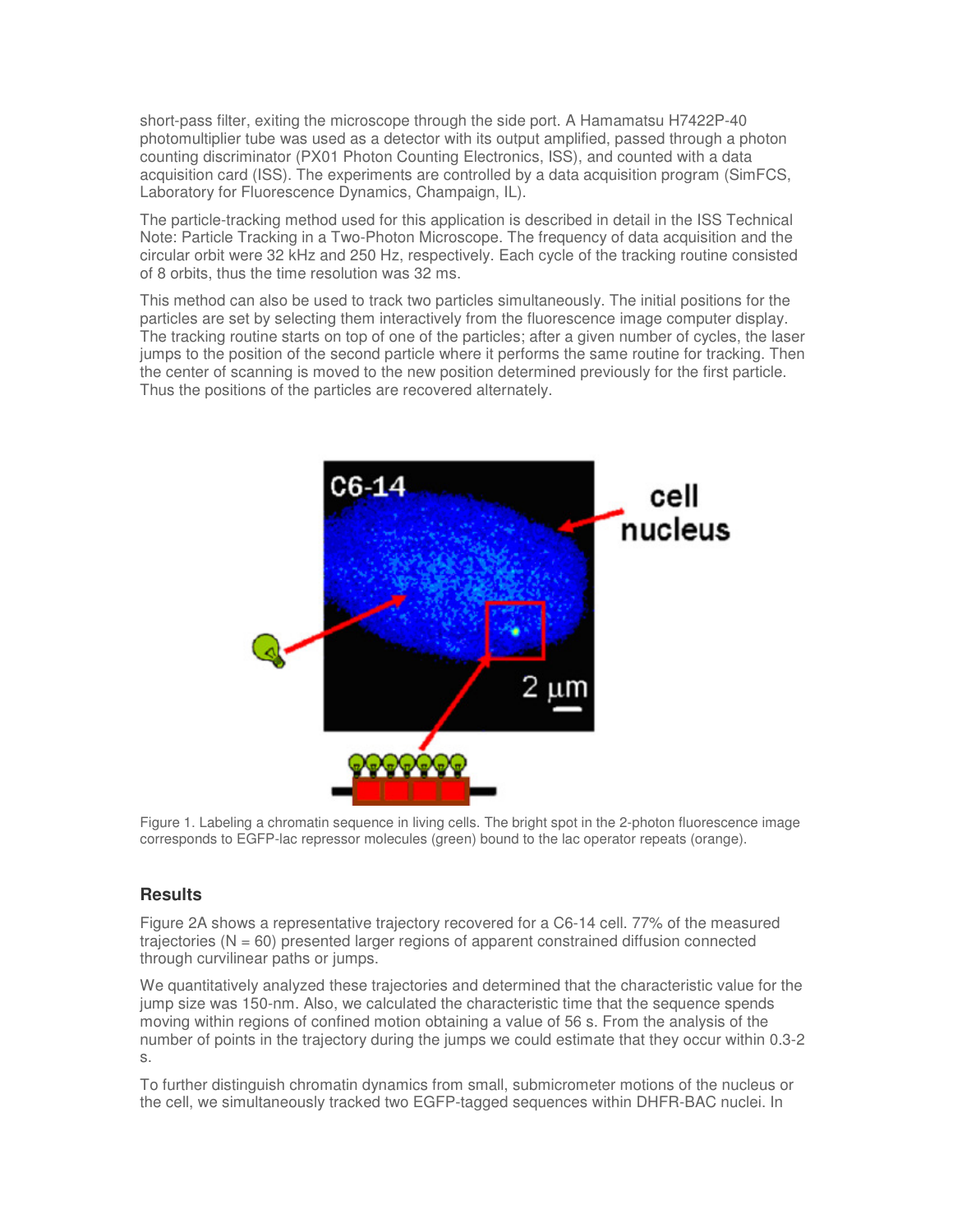short-pass filter, exiting the microscope through the side port. A Hamamatsu H7422P-40 photomultiplier tube was used as a detector with its output amplified, passed through a photon counting discriminator (PX01 Photon Counting Electronics, ISS), and counted with a data acquisition card (ISS). The experiments are controlled by a data acquisition program (SimFCS, Laboratory for Fluorescence Dynamics, Champaign, IL).

The particle-tracking method used for this application is described in detail in the ISS Technical Note: Particle Tracking in a Two-Photon Microscope. The frequency of data acquisition and the circular orbit were 32 kHz and 250 Hz, respectively. Each cycle of the tracking routine consisted of 8 orbits, thus the time resolution was 32 ms.

This method can also be used to track two particles simultaneously. The initial positions for the particles are set by selecting them interactively from the fluorescence image computer display. The tracking routine starts on top of one of the particles; after a given number of cycles, the laser jumps to the position of the second particle where it performs the same routine for tracking. Then the center of scanning is moved to the new position determined previously for the first particle. Thus the positions of the particles are recovered alternately.



Figure 1. Labeling a chromatin sequence in living cells. The bright spot in the 2-photon fluorescence image corresponds to EGFP-lac repressor molecules (green) bound to the lac operator repeats (orange).

### **Results**

Figure 2A shows a representative trajectory recovered for a C6-14 cell. 77% of the measured trajectories ( $N = 60$ ) presented larger regions of apparent constrained diffusion connected through curvilinear paths or jumps.

We quantitatively analyzed these trajectories and determined that the characteristic value for the jump size was 150-nm. Also, we calculated the characteristic time that the sequence spends moving within regions of confined motion obtaining a value of 56 s. From the analysis of the number of points in the trajectory during the jumps we could estimate that they occur within 0.3-2 s.

To further distinguish chromatin dynamics from small, submicrometer motions of the nucleus or the cell, we simultaneously tracked two EGFP-tagged sequences within DHFR-BAC nuclei. In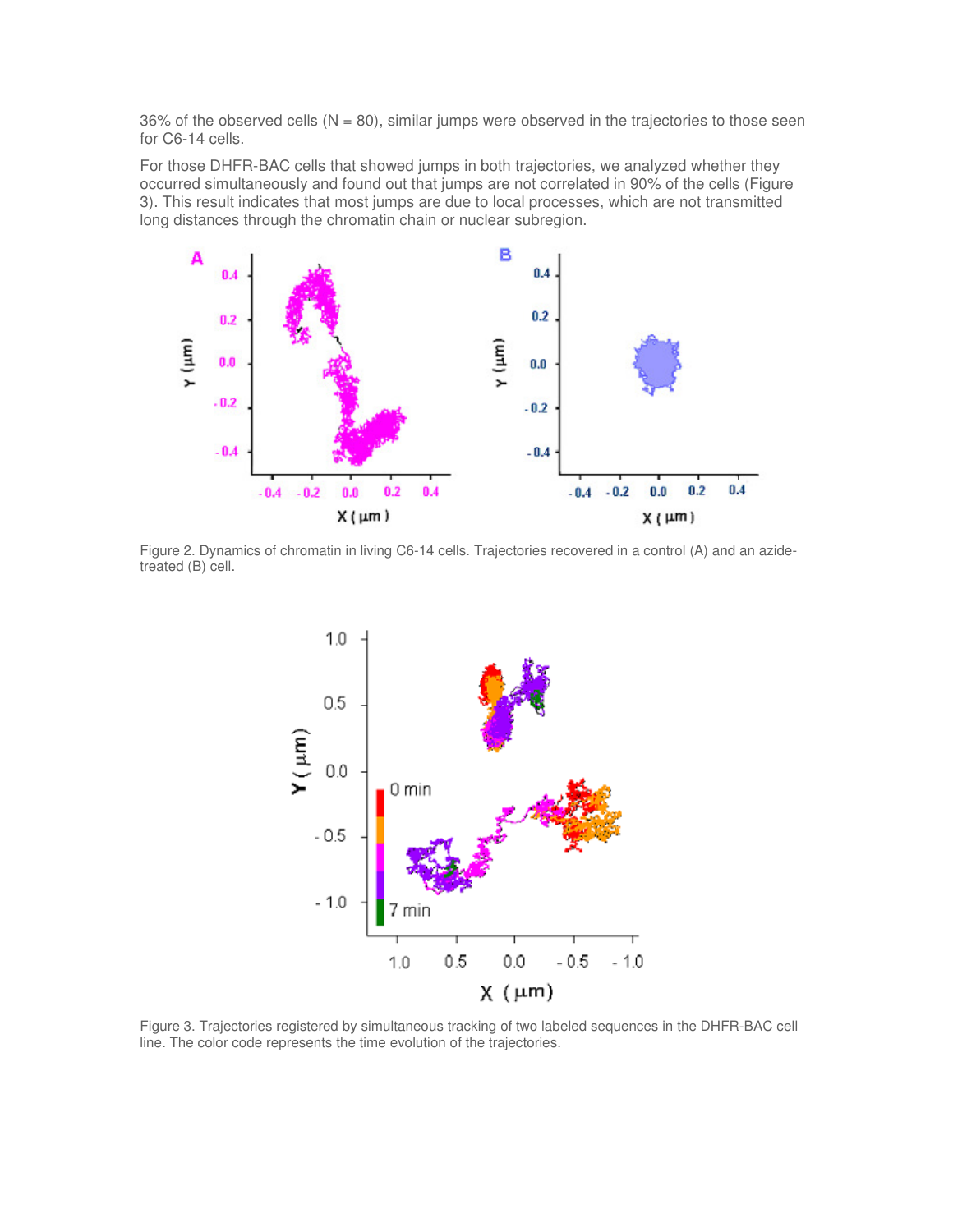$36\%$  of the observed cells (N = 80), similar jumps were observed in the trajectories to those seen for C6-14 cells.

For those DHFR-BAC cells that showed jumps in both trajectories, we analyzed whether they occurred simultaneously and found out that jumps are not correlated in 90% of the cells (Figure 3). This result indicates that most jumps are due to local processes, which are not transmitted long distances through the chromatin chain or nuclear subregion.



Figure 2. Dynamics of chromatin in living C6-14 cells. Trajectories recovered in a control (A) and an azidetreated (B) cell.



Figure 3. Trajectories registered by simultaneous tracking of two labeled sequences in the DHFR-BAC cell line. The color code represents the time evolution of the trajectories.